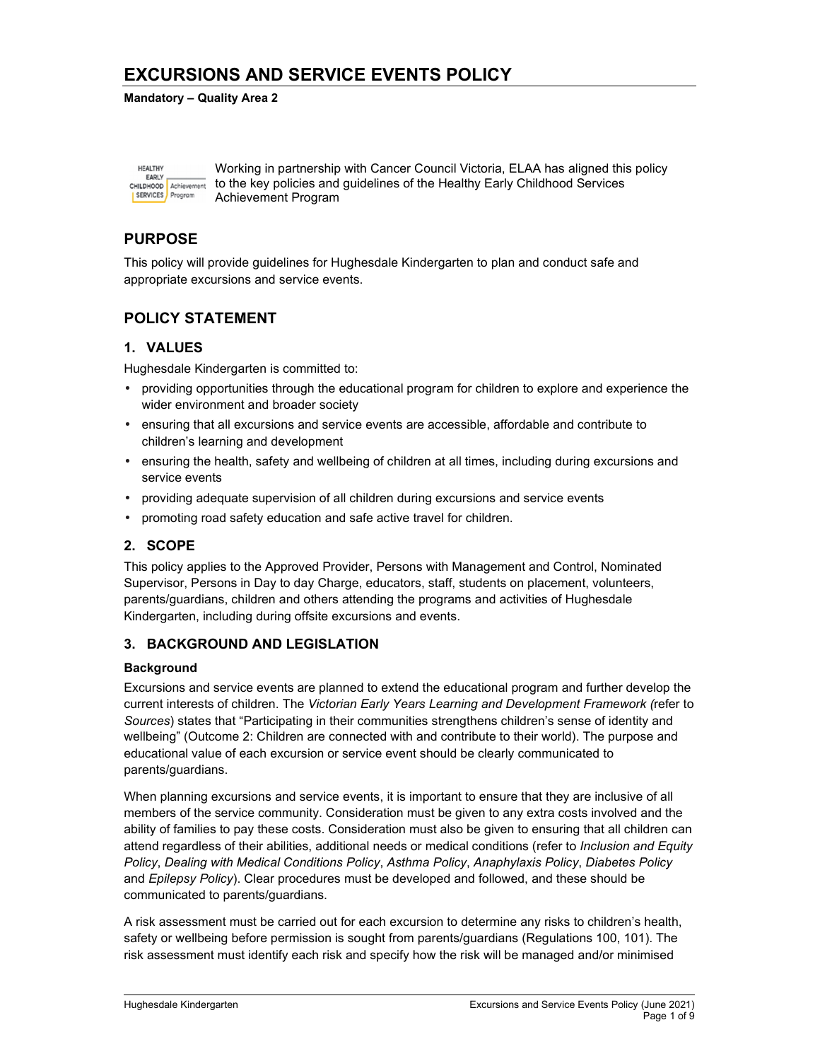#### **Mandatory – Quality Area 2**

| <b>HEALTHY</b><br><b>FARLY</b>      |                        |
|-------------------------------------|------------------------|
| <b>CHILDHOOD</b><br><b>SERVICES</b> | Achievement<br>Program |
|                                     |                        |

Working in partnership with Cancer Council Victoria, ELAA has aligned this policy to the key policies and guidelines of the Healthy Early Childhood Services Achievement Program

## **PURPOSE**

This policy will provide guidelines for Hughesdale Kindergarten to plan and conduct safe and appropriate excursions and service events.

## **POLICY STATEMENT**

## **1. VALUES**

Hughesdale Kindergarten is committed to:

- providing opportunities through the educational program for children to explore and experience the wider environment and broader society
- ensuring that all excursions and service events are accessible, affordable and contribute to children's learning and development
- ensuring the health, safety and wellbeing of children at all times, including during excursions and service events
- providing adequate supervision of all children during excursions and service events
- promoting road safety education and safe active travel for children.

## **2. SCOPE**

This policy applies to the Approved Provider, Persons with Management and Control, Nominated Supervisor, Persons in Day to day Charge, educators, staff, students on placement, volunteers, parents/guardians, children and others attending the programs and activities of Hughesdale Kindergarten, including during offsite excursions and events.

## **3. BACKGROUND AND LEGISLATION**

### **Background**

Excursions and service events are planned to extend the educational program and further develop the current interests of children. The *Victorian Early Years Learning and Development Framework (*refer to *Sources*) states that "Participating in their communities strengthens children's sense of identity and wellbeing" (Outcome 2: Children are connected with and contribute to their world). The purpose and educational value of each excursion or service event should be clearly communicated to parents/guardians.

When planning excursions and service events, it is important to ensure that they are inclusive of all members of the service community. Consideration must be given to any extra costs involved and the ability of families to pay these costs. Consideration must also be given to ensuring that all children can attend regardless of their abilities, additional needs or medical conditions (refer to *Inclusion and Equity Policy*, *Dealing with Medical Conditions Policy*, *Asthma Policy*, *Anaphylaxis Policy*, *Diabetes Policy*  and *Epilepsy Policy*). Clear procedures must be developed and followed, and these should be communicated to parents/guardians.

A risk assessment must be carried out for each excursion to determine any risks to children's health, safety or wellbeing before permission is sought from parents/guardians (Regulations 100, 101). The risk assessment must identify each risk and specify how the risk will be managed and/or minimised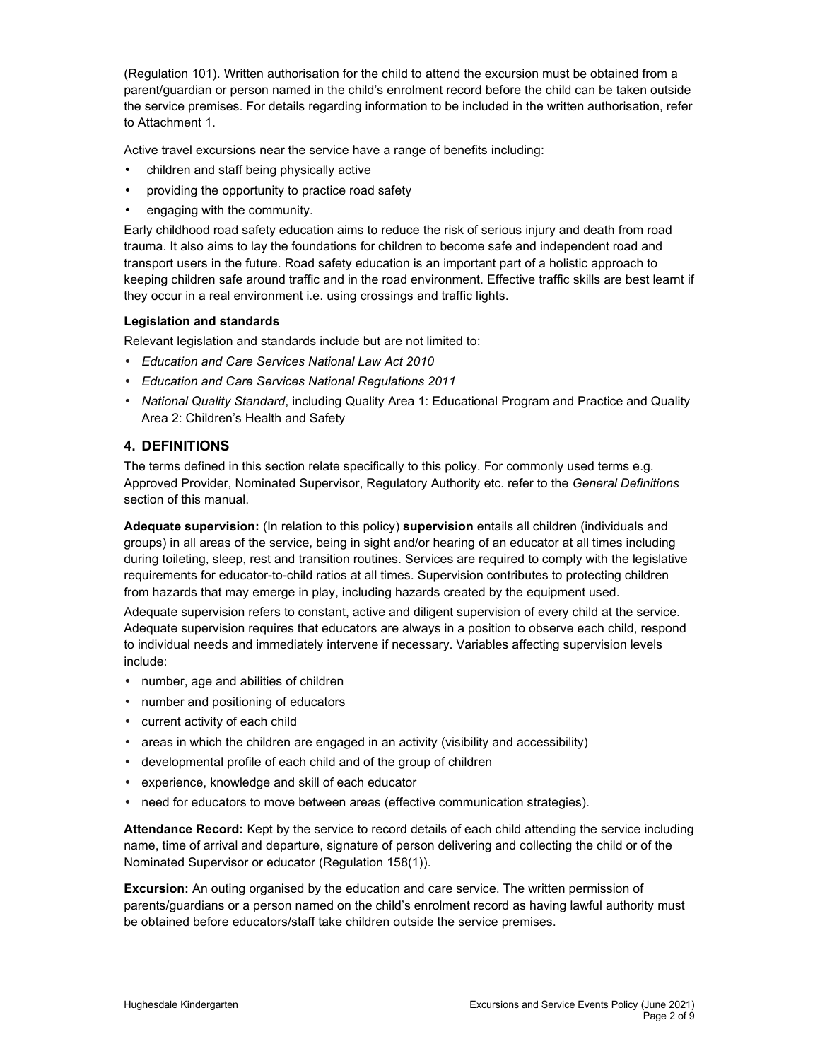(Regulation 101). Written authorisation for the child to attend the excursion must be obtained from a parent/guardian or person named in the child's enrolment record before the child can be taken outside the service premises. For details regarding information to be included in the written authorisation, refer to Attachment 1.

Active travel excursions near the service have a range of benefits including:

- children and staff being physically active
- providing the opportunity to practice road safety
- engaging with the community.

Early childhood road safety education aims to reduce the risk of serious injury and death from road trauma. It also aims to lay the foundations for children to become safe and independent road and transport users in the future. Road safety education is an important part of a holistic approach to keeping children safe around traffic and in the road environment. Effective traffic skills are best learnt if they occur in a real environment i.e. using crossings and traffic lights.

### **Legislation and standards**

Relevant legislation and standards include but are not limited to:

- *Education and Care Services National Law Act 2010*
- *Education and Care Services National Regulations 2011*
- *National Quality Standard*, including Quality Area 1: Educational Program and Practice and Quality Area 2: Children's Health and Safety

## **4. DEFINITIONS**

The terms defined in this section relate specifically to this policy. For commonly used terms e.g. Approved Provider, Nominated Supervisor, Regulatory Authority etc. refer to the *General Definitions* section of this manual.

**Adequate supervision:** (In relation to this policy) **supervision** entails all children (individuals and groups) in all areas of the service, being in sight and/or hearing of an educator at all times including during toileting, sleep, rest and transition routines. Services are required to comply with the legislative requirements for educator-to-child ratios at all times. Supervision contributes to protecting children from hazards that may emerge in play, including hazards created by the equipment used.

Adequate supervision refers to constant, active and diligent supervision of every child at the service. Adequate supervision requires that educators are always in a position to observe each child, respond to individual needs and immediately intervene if necessary. Variables affecting supervision levels include:

- number, age and abilities of children
- number and positioning of educators
- current activity of each child
- areas in which the children are engaged in an activity (visibility and accessibility)
- developmental profile of each child and of the group of children
- experience, knowledge and skill of each educator
- need for educators to move between areas (effective communication strategies).

**Attendance Record:** Kept by the service to record details of each child attending the service including name, time of arrival and departure, signature of person delivering and collecting the child or of the Nominated Supervisor or educator (Regulation 158(1)).

**Excursion:** An outing organised by the education and care service. The written permission of parents/guardians or a person named on the child's enrolment record as having lawful authority must be obtained before educators/staff take children outside the service premises.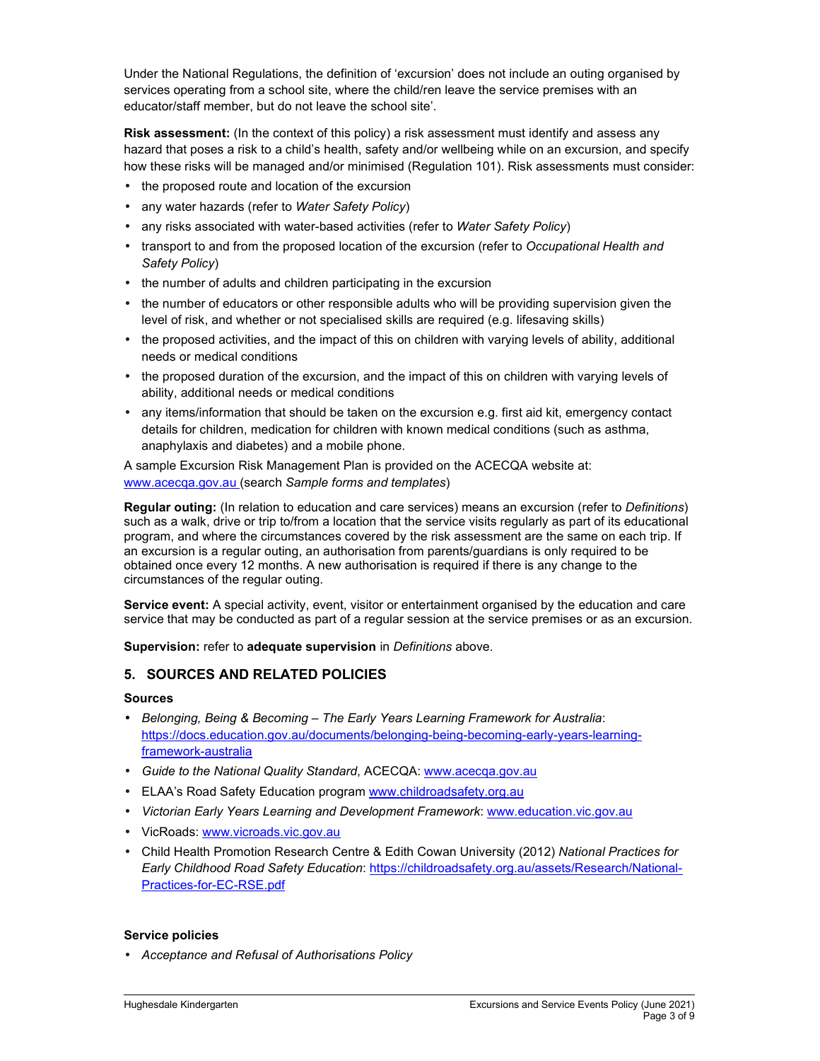Under the National Regulations, the definition of 'excursion' does not include an outing organised by services operating from a school site, where the child/ren leave the service premises with an educator/staff member, but do not leave the school site'.

**Risk assessment:** (In the context of this policy) a risk assessment must identify and assess any hazard that poses a risk to a child's health, safety and/or wellbeing while on an excursion, and specify how these risks will be managed and/or minimised (Regulation 101). Risk assessments must consider:

- the proposed route and location of the excursion
- any water hazards (refer to *Water Safety Policy*)
- any risks associated with water-based activities (refer to *Water Safety Policy*)
- transport to and from the proposed location of the excursion (refer to *Occupational Health and Safety Policy*)
- the number of adults and children participating in the excursion
- the number of educators or other responsible adults who will be providing supervision given the level of risk, and whether or not specialised skills are required (e.g. lifesaving skills)
- the proposed activities, and the impact of this on children with varying levels of ability, additional needs or medical conditions
- the proposed duration of the excursion, and the impact of this on children with varying levels of ability, additional needs or medical conditions
- any items/information that should be taken on the excursion e.g. first aid kit, emergency contact details for children, medication for children with known medical conditions (such as asthma, anaphylaxis and diabetes) and a mobile phone.

A sample Excursion Risk Management Plan is provided on the ACECQA website at: www.acecqa.gov.au (search *Sample forms and templates*)

**Regular outing:** (In relation to education and care services) means an excursion (refer to *Definitions*) such as a walk, drive or trip to/from a location that the service visits regularly as part of its educational program, and where the circumstances covered by the risk assessment are the same on each trip. If an excursion is a regular outing, an authorisation from parents/guardians is only required to be obtained once every 12 months. A new authorisation is required if there is any change to the circumstances of the regular outing.

**Service event:** A special activity, event, visitor or entertainment organised by the education and care service that may be conducted as part of a regular session at the service premises or as an excursion.

**Supervision:** refer to **adequate supervision** in *Definitions* above.

## **5. SOURCES AND RELATED POLICIES**

### **Sources**

- *Belonging, Being & Becoming The Early Years Learning Framework for Australia*: https://docs.education.gov.au/documents/belonging-being-becoming-early-years-learningframework-australia
- *Guide to the National Quality Standard*, ACECQA: www.acecqa.gov.au
- ELAA's Road Safety Education program www.childroadsafety.org.au
- *Victorian Early Years Learning and Development Framework*: www.education.vic.gov.au
- VicRoads: www.vicroads.vic.gov.au
- Child Health Promotion Research Centre & Edith Cowan University (2012) *National Practices for Early Childhood Road Safety Education*: https://childroadsafety.org.au/assets/Research/National-Practices-for-EC-RSE.pdf

### **Service policies**

• *Acceptance and Refusal of Authorisations Policy*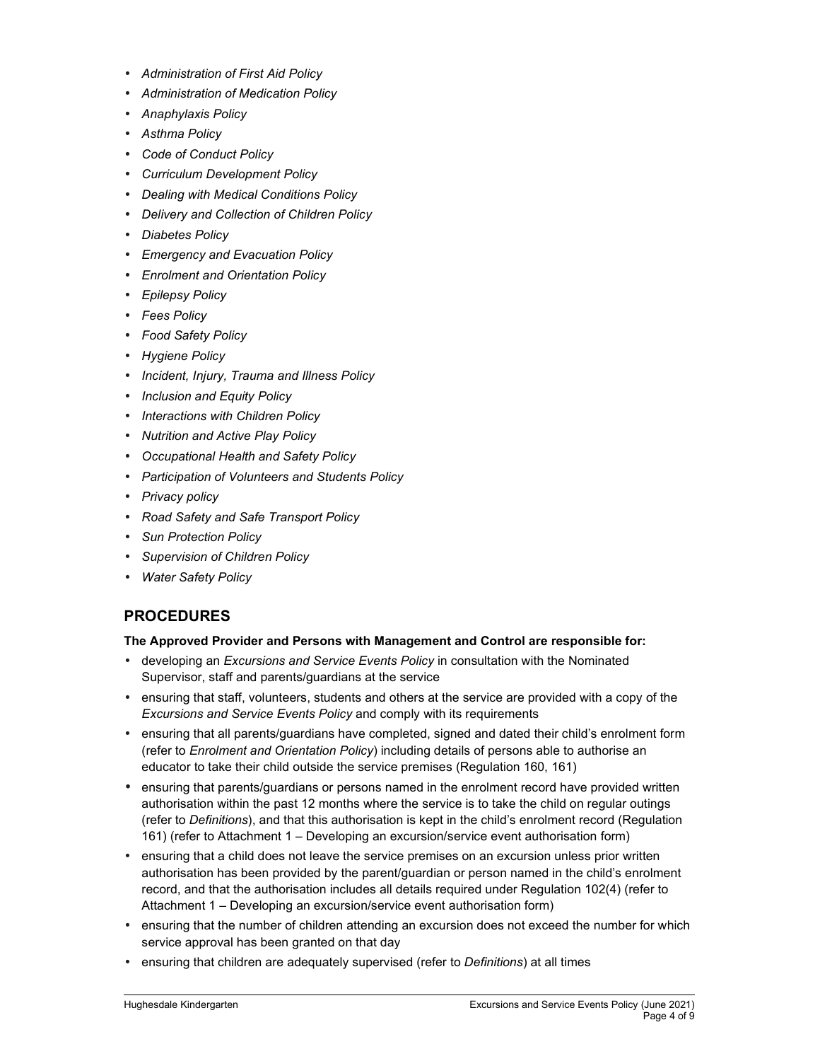- *Administration of First Aid Policy*
- *Administration of Medication Policy*
- *Anaphylaxis Policy*
- *Asthma Policy*
- *Code of Conduct Policy*
- *Curriculum Development Policy*
- *Dealing with Medical Conditions Policy*
- *Delivery and Collection of Children Policy*
- *Diabetes Policy*
- *Emergency and Evacuation Policy*
- *Enrolment and Orientation Policy*
- *Epilepsy Policy*
- *Fees Policy*
- *Food Safety Policy*
- *Hygiene Policy*
- *Incident, Injury, Trauma and Illness Policy*
- *Inclusion and Equity Policy*
- *Interactions with Children Policy*
- *Nutrition and Active Play Policy*
- *Occupational Health and Safety Policy*
- *Participation of Volunteers and Students Policy*
- *Privacy policy*
- *Road Safety and Safe Transport Policy*
- *Sun Protection Policy*
- *Supervision of Children Policy*
- *Water Safety Policy*

## **PROCEDURES**

### **The Approved Provider and Persons with Management and Control are responsible for:**

- developing an *Excursions and Service Events Policy* in consultation with the Nominated Supervisor, staff and parents/guardians at the service
- ensuring that staff, volunteers, students and others at the service are provided with a copy of the *Excursions and Service Events Policy* and comply with its requirements
- ensuring that all parents/guardians have completed, signed and dated their child's enrolment form (refer to *Enrolment and Orientation Policy*) including details of persons able to authorise an educator to take their child outside the service premises (Regulation 160, 161)
- ensuring that parents/guardians or persons named in the enrolment record have provided written authorisation within the past 12 months where the service is to take the child on regular outings (refer to *Definitions*), and that this authorisation is kept in the child's enrolment record (Regulation 161) (refer to Attachment 1 – Developing an excursion/service event authorisation form)
- ensuring that a child does not leave the service premises on an excursion unless prior written authorisation has been provided by the parent/guardian or person named in the child's enrolment record, and that the authorisation includes all details required under Regulation 102(4) (refer to Attachment 1 – Developing an excursion/service event authorisation form)
- ensuring that the number of children attending an excursion does not exceed the number for which service approval has been granted on that day
- ensuring that children are adequately supervised (refer to *Definitions*) at all times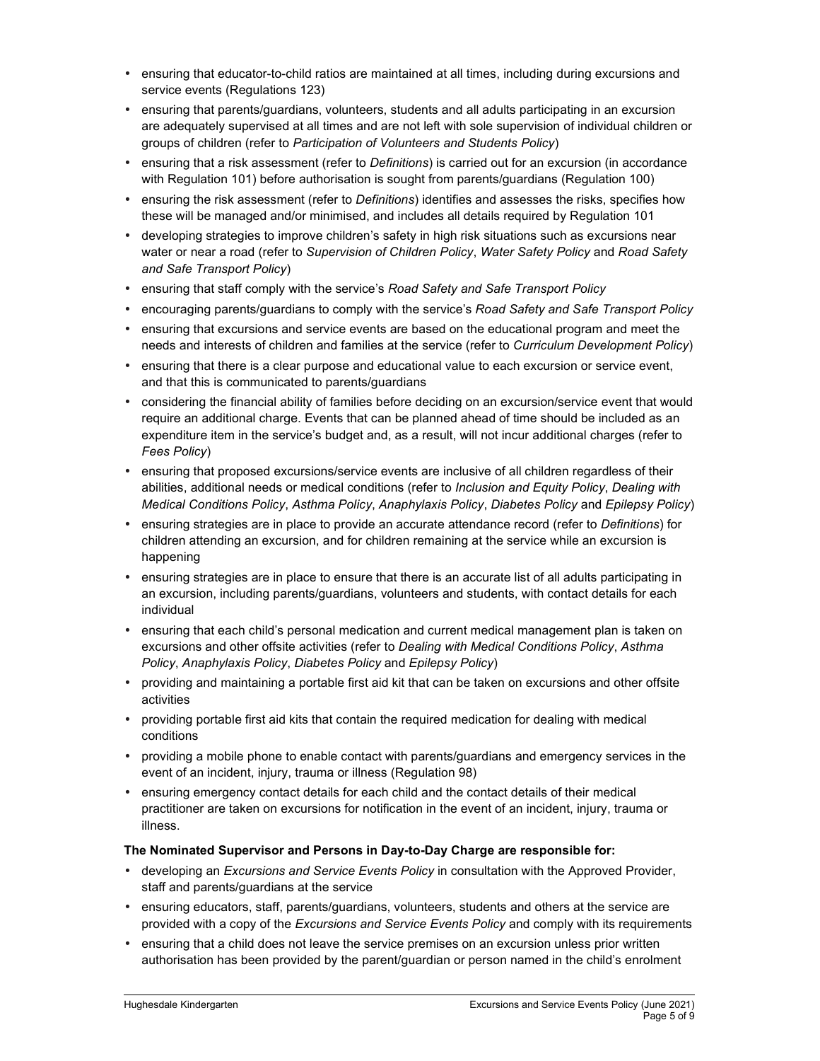- ensuring that educator-to-child ratios are maintained at all times, including during excursions and service events (Regulations 123)
- ensuring that parents/guardians, volunteers, students and all adults participating in an excursion are adequately supervised at all times and are not left with sole supervision of individual children or groups of children (refer to *Participation of Volunteers and Students Policy*)
- ensuring that a risk assessment (refer to *Definitions*) is carried out for an excursion (in accordance with Regulation 101) before authorisation is sought from parents/guardians (Regulation 100)
- ensuring the risk assessment (refer to *Definitions*) identifies and assesses the risks, specifies how these will be managed and/or minimised, and includes all details required by Regulation 101
- developing strategies to improve children's safety in high risk situations such as excursions near water or near a road (refer to *Supervision of Children Policy*, *Water Safety Policy* and *Road Safety and Safe Transport Policy*)
- ensuring that staff comply with the service's *Road Safety and Safe Transport Policy*
- encouraging parents/guardians to comply with the service's *Road Safety and Safe Transport Policy*
- ensuring that excursions and service events are based on the educational program and meet the needs and interests of children and families at the service (refer to *Curriculum Development Policy*)
- ensuring that there is a clear purpose and educational value to each excursion or service event, and that this is communicated to parents/guardians
- considering the financial ability of families before deciding on an excursion/service event that would require an additional charge. Events that can be planned ahead of time should be included as an expenditure item in the service's budget and, as a result, will not incur additional charges (refer to *Fees Policy*)
- ensuring that proposed excursions/service events are inclusive of all children regardless of their abilities, additional needs or medical conditions (refer to *Inclusion and Equity Policy*, *Dealing with Medical Conditions Policy*, *Asthma Policy*, *Anaphylaxis Policy*, *Diabetes Policy* and *Epilepsy Policy*)
- ensuring strategies are in place to provide an accurate attendance record (refer to *Definitions*) for children attending an excursion, and for children remaining at the service while an excursion is happening
- ensuring strategies are in place to ensure that there is an accurate list of all adults participating in an excursion, including parents/guardians, volunteers and students, with contact details for each individual
- ensuring that each child's personal medication and current medical management plan is taken on excursions and other offsite activities (refer to *Dealing with Medical Conditions Policy*, *Asthma Policy*, *Anaphylaxis Policy*, *Diabetes Policy* and *Epilepsy Policy*)
- providing and maintaining a portable first aid kit that can be taken on excursions and other offsite activities
- providing portable first aid kits that contain the required medication for dealing with medical conditions
- providing a mobile phone to enable contact with parents/guardians and emergency services in the event of an incident, injury, trauma or illness (Regulation 98)
- ensuring emergency contact details for each child and the contact details of their medical practitioner are taken on excursions for notification in the event of an incident, injury, trauma or illness.

### **The Nominated Supervisor and Persons in Day-to-Day Charge are responsible for:**

- developing an *Excursions and Service Events Policy* in consultation with the Approved Provider, staff and parents/guardians at the service
- ensuring educators, staff, parents/guardians, volunteers, students and others at the service are provided with a copy of the *Excursions and Service Events Policy* and comply with its requirements
- ensuring that a child does not leave the service premises on an excursion unless prior written authorisation has been provided by the parent/guardian or person named in the child's enrolment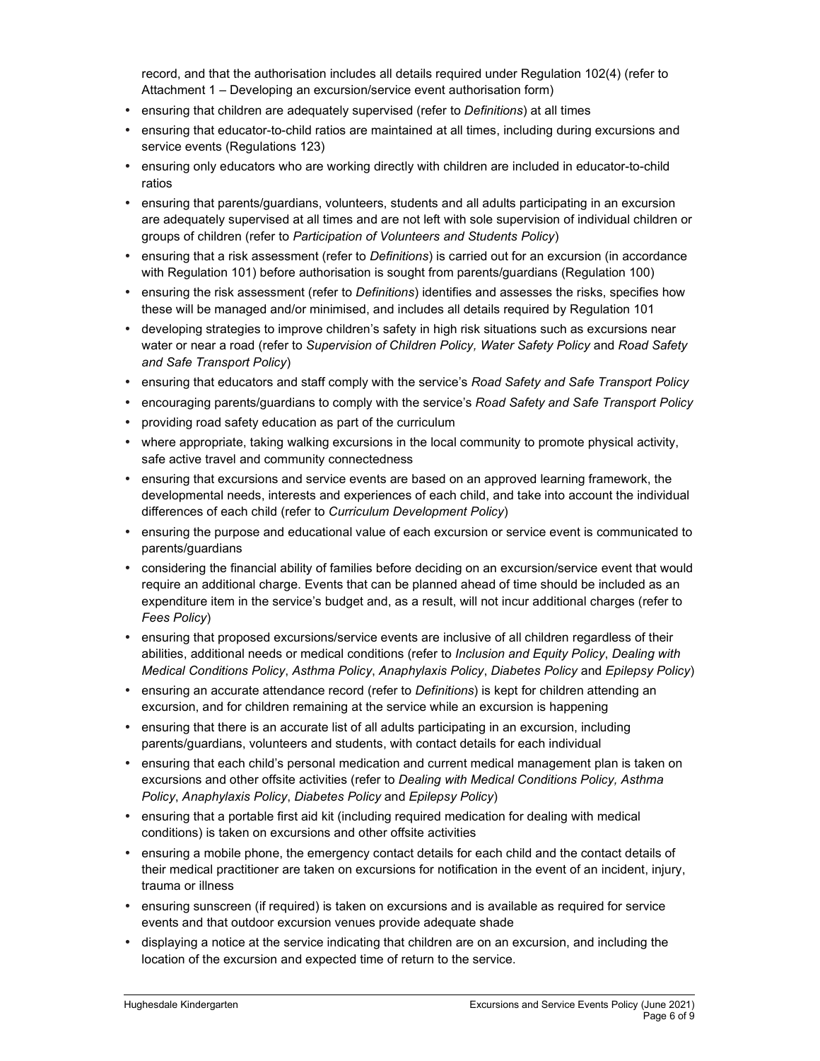record, and that the authorisation includes all details required under Regulation 102(4) (refer to Attachment 1 – Developing an excursion/service event authorisation form)

- ensuring that children are adequately supervised (refer to *Definitions*) at all times
- ensuring that educator-to-child ratios are maintained at all times, including during excursions and service events (Regulations 123)
- ensuring only educators who are working directly with children are included in educator-to-child ratios
- ensuring that parents/guardians, volunteers, students and all adults participating in an excursion are adequately supervised at all times and are not left with sole supervision of individual children or groups of children (refer to *Participation of Volunteers and Students Policy*)
- ensuring that a risk assessment (refer to *Definitions*) is carried out for an excursion (in accordance with Regulation 101) before authorisation is sought from parents/guardians (Regulation 100)
- ensuring the risk assessment (refer to *Definitions*) identifies and assesses the risks, specifies how these will be managed and/or minimised, and includes all details required by Regulation 101
- developing strategies to improve children's safety in high risk situations such as excursions near water or near a road (refer to *Supervision of Children Policy, Water Safety Policy* and *Road Safety and Safe Transport Policy*)
- ensuring that educators and staff comply with the service's *Road Safety and Safe Transport Policy*
- encouraging parents/guardians to comply with the service's *Road Safety and Safe Transport Policy*
- providing road safety education as part of the curriculum
- where appropriate, taking walking excursions in the local community to promote physical activity, safe active travel and community connectedness
- ensuring that excursions and service events are based on an approved learning framework, the developmental needs, interests and experiences of each child, and take into account the individual differences of each child (refer to *Curriculum Development Policy*)
- ensuring the purpose and educational value of each excursion or service event is communicated to parents/guardians
- considering the financial ability of families before deciding on an excursion/service event that would require an additional charge. Events that can be planned ahead of time should be included as an expenditure item in the service's budget and, as a result, will not incur additional charges (refer to *Fees Policy*)
- ensuring that proposed excursions/service events are inclusive of all children regardless of their abilities, additional needs or medical conditions (refer to *Inclusion and Equity Policy*, *Dealing with Medical Conditions Policy*, *Asthma Policy*, *Anaphylaxis Policy*, *Diabetes Policy* and *Epilepsy Policy*)
- ensuring an accurate attendance record (refer to *Definitions*) is kept for children attending an excursion, and for children remaining at the service while an excursion is happening
- ensuring that there is an accurate list of all adults participating in an excursion, including parents/guardians, volunteers and students, with contact details for each individual
- ensuring that each child's personal medication and current medical management plan is taken on excursions and other offsite activities (refer to *Dealing with Medical Conditions Policy, Asthma Policy*, *Anaphylaxis Policy*, *Diabetes Policy* and *Epilepsy Policy*)
- ensuring that a portable first aid kit (including required medication for dealing with medical conditions) is taken on excursions and other offsite activities
- ensuring a mobile phone, the emergency contact details for each child and the contact details of their medical practitioner are taken on excursions for notification in the event of an incident, injury, trauma or illness
- ensuring sunscreen (if required) is taken on excursions and is available as required for service events and that outdoor excursion venues provide adequate shade
- displaying a notice at the service indicating that children are on an excursion, and including the location of the excursion and expected time of return to the service.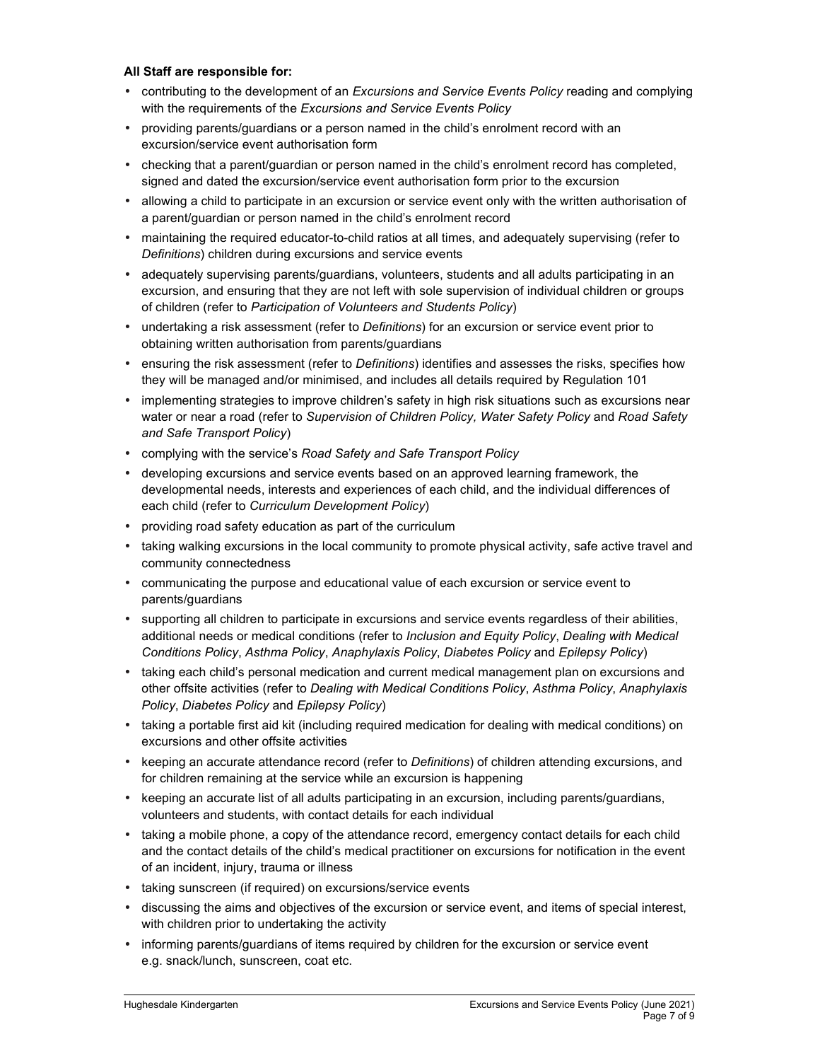#### **All Staff are responsible for:**

- contributing to the development of an *Excursions and Service Events Policy* reading and complying with the requirements of the *Excursions and Service Events Policy*
- providing parents/guardians or a person named in the child's enrolment record with an excursion/service event authorisation form
- checking that a parent/guardian or person named in the child's enrolment record has completed, signed and dated the excursion/service event authorisation form prior to the excursion
- allowing a child to participate in an excursion or service event only with the written authorisation of a parent/guardian or person named in the child's enrolment record
- maintaining the required educator-to-child ratios at all times, and adequately supervising (refer to *Definitions*) children during excursions and service events
- adequately supervising parents/guardians, volunteers, students and all adults participating in an excursion, and ensuring that they are not left with sole supervision of individual children or groups of children (refer to *Participation of Volunteers and Students Policy*)
- undertaking a risk assessment (refer to *Definitions*) for an excursion or service event prior to obtaining written authorisation from parents/guardians
- ensuring the risk assessment (refer to *Definitions*) identifies and assesses the risks, specifies how they will be managed and/or minimised, and includes all details required by Regulation 101
- implementing strategies to improve children's safety in high risk situations such as excursions near water or near a road (refer to *Supervision of Children Policy, Water Safety Policy* and *Road Safety and Safe Transport Policy*)
- complying with the service's *Road Safety and Safe Transport Policy*
- developing excursions and service events based on an approved learning framework, the developmental needs, interests and experiences of each child, and the individual differences of each child (refer to *Curriculum Development Policy*)
- providing road safety education as part of the curriculum
- taking walking excursions in the local community to promote physical activity, safe active travel and community connectedness
- communicating the purpose and educational value of each excursion or service event to parents/guardians
- supporting all children to participate in excursions and service events regardless of their abilities, additional needs or medical conditions (refer to *Inclusion and Equity Policy*, *Dealing with Medical Conditions Policy*, *Asthma Policy*, *Anaphylaxis Policy*, *Diabetes Policy* and *Epilepsy Policy*)
- taking each child's personal medication and current medical management plan on excursions and other offsite activities (refer to *Dealing with Medical Conditions Policy*, *Asthma Policy*, *Anaphylaxis Policy*, *Diabetes Policy* and *Epilepsy Policy*)
- taking a portable first aid kit (including required medication for dealing with medical conditions) on excursions and other offsite activities
- keeping an accurate attendance record (refer to *Definitions*) of children attending excursions, and for children remaining at the service while an excursion is happening
- keeping an accurate list of all adults participating in an excursion, including parents/guardians, volunteers and students, with contact details for each individual
- taking a mobile phone, a copy of the attendance record, emergency contact details for each child and the contact details of the child's medical practitioner on excursions for notification in the event of an incident, injury, trauma or illness
- taking sunscreen (if required) on excursions/service events
- discussing the aims and objectives of the excursion or service event, and items of special interest, with children prior to undertaking the activity
- informing parents/guardians of items required by children for the excursion or service event e.g. snack/lunch, sunscreen, coat etc.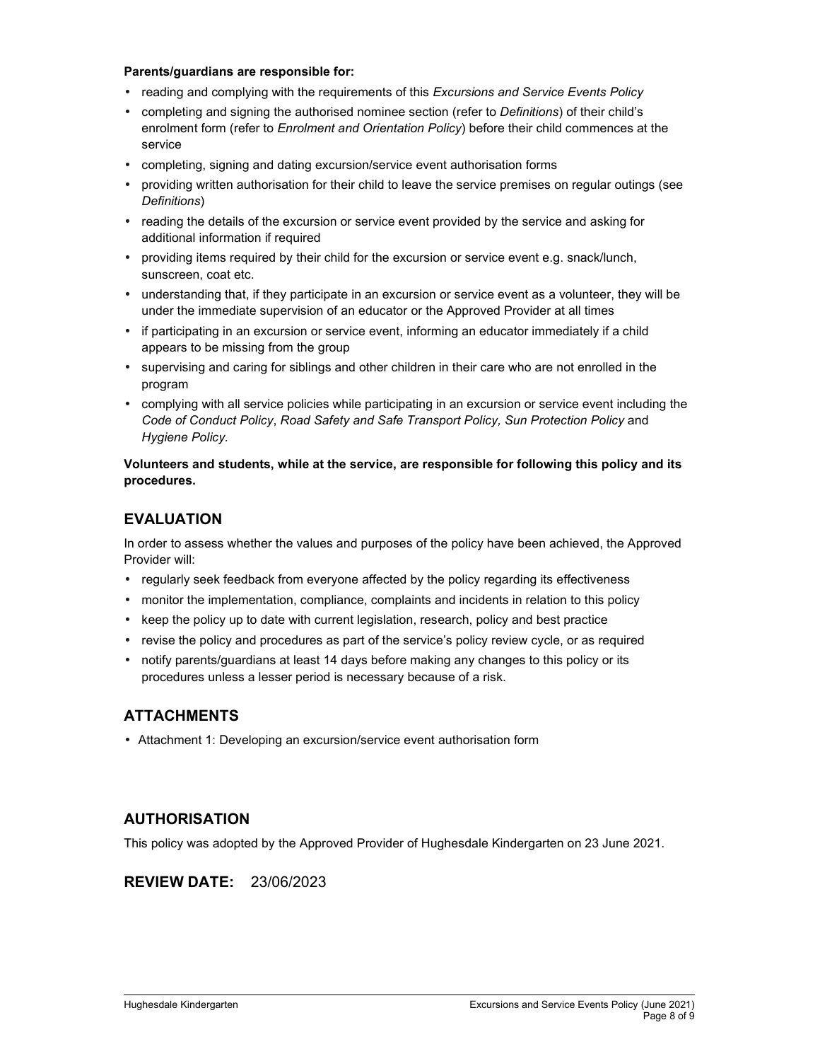#### **Parents/guardians are responsible for:**

- reading and complying with the requirements of this *Excursions and Service Events Policy*
- completing and signing the authorised nominee section (refer to *Definitions*) of their child's enrolment form (refer to *Enrolment and Orientation Policy*) before their child commences at the service
- completing, signing and dating excursion/service event authorisation forms
- providing written authorisation for their child to leave the service premises on regular outings (see *Definitions*)
- reading the details of the excursion or service event provided by the service and asking for additional information if required
- providing items required by their child for the excursion or service event e.g. snack/lunch, sunscreen, coat etc.
- understanding that, if they participate in an excursion or service event as a volunteer, they will be under the immediate supervision of an educator or the Approved Provider at all times
- if participating in an excursion or service event, informing an educator immediately if a child appears to be missing from the group
- supervising and caring for siblings and other children in their care who are not enrolled in the program
- complying with all service policies while participating in an excursion or service event including the *Code of Conduct Policy*, *Road Safety and Safe Transport Policy, Sun Protection Policy* and *Hygiene Policy.*

### **Volunteers and students, while at the service, are responsible for following this policy and its procedures.**

## **EVALUATION**

In order to assess whether the values and purposes of the policy have been achieved, the Approved Provider will:

- regularly seek feedback from everyone affected by the policy regarding its effectiveness
- monitor the implementation, compliance, complaints and incidents in relation to this policy
- keep the policy up to date with current legislation, research, policy and best practice
- revise the policy and procedures as part of the service's policy review cycle, or as required
- notify parents/guardians at least 14 days before making any changes to this policy or its procedures unless a lesser period is necessary because of a risk.

## **ATTACHMENTS**

• Attachment 1: Developing an excursion/service event authorisation form

## **AUTHORISATION**

This policy was adopted by the Approved Provider of Hughesdale Kindergarten on 23 June 2021.

## **REVIEW DATE:** 23/06/2023